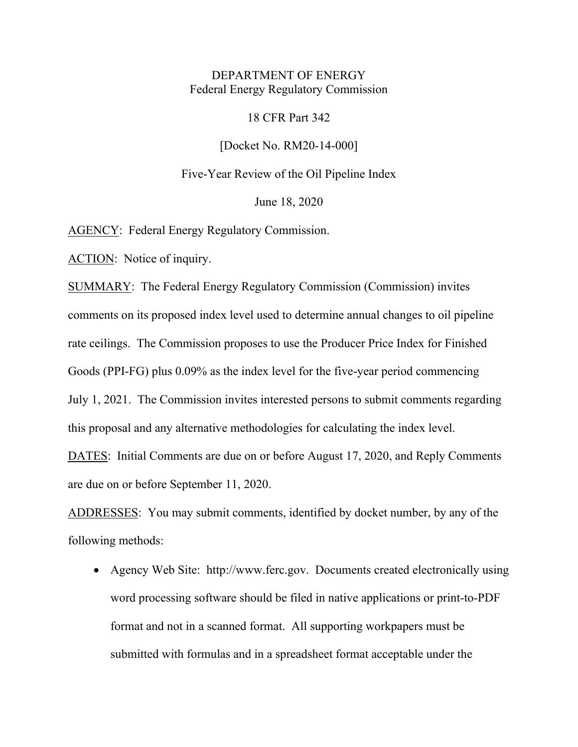# DEPARTMENT OF ENERGY Federal Energy Regulatory Commission

#### 18 CFR Part 342

[Docket No. RM20-14-000]

Five-Year Review of the Oil Pipeline Index

June 18, 2020

AGENCY: Federal Energy Regulatory Commission.

ACTION: Notice of inquiry.

SUMMARY: The Federal Energy Regulatory Commission (Commission) invites comments on its proposed index level used to determine annual changes to oil pipeline rate ceilings. The Commission proposes to use the Producer Price Index for Finished Goods (PPI-FG) plus 0.09% as the index level for the five-year period commencing July 1, 2021. The Commission invites interested persons to submit comments regarding this proposal and any alternative methodologies for calculating the index level.

DATES: Initial Comments are due on or before August 17, 2020, and Reply Comments are due on or before September 11, 2020.

ADDRESSES: You may submit comments, identified by docket number, by any of the following methods:

• Agency Web Site: [http://www.ferc.gov.](http://www.ferc.gov/) Documents created electronically using word processing software should be filed in native applications or print-to-PDF format and not in a scanned format. All supporting workpapers must be submitted with formulas and in a spreadsheet format acceptable under the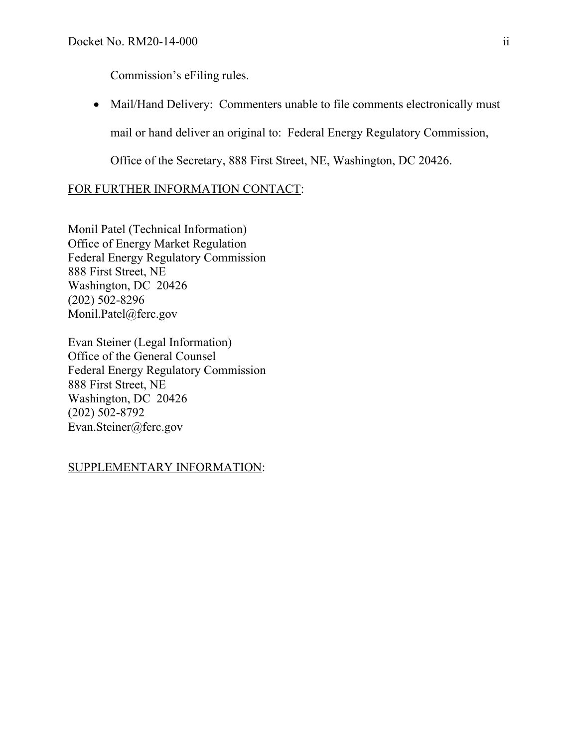Commission's eFiling rules.

• Mail/Hand Delivery: Commenters unable to file comments electronically must mail or hand deliver an original to: Federal Energy Regulatory Commission,

Office of the Secretary, 888 First Street, NE, Washington, DC 20426.

# FOR FURTHER INFORMATION CONTACT:

Monil Patel (Technical Information) Office of Energy Market Regulation Federal Energy Regulatory Commission 888 First Street, NE Washington, DC 20426 (202) 502-8296 Monil.Patel@ferc.gov

Evan Steiner (Legal Information) Office of the General Counsel Federal Energy Regulatory Commission 888 First Street, NE Washington, DC 20426 (202) 502-8792 Evan.Steiner@ferc.gov

### SUPPLEMENTARY INFORMATION: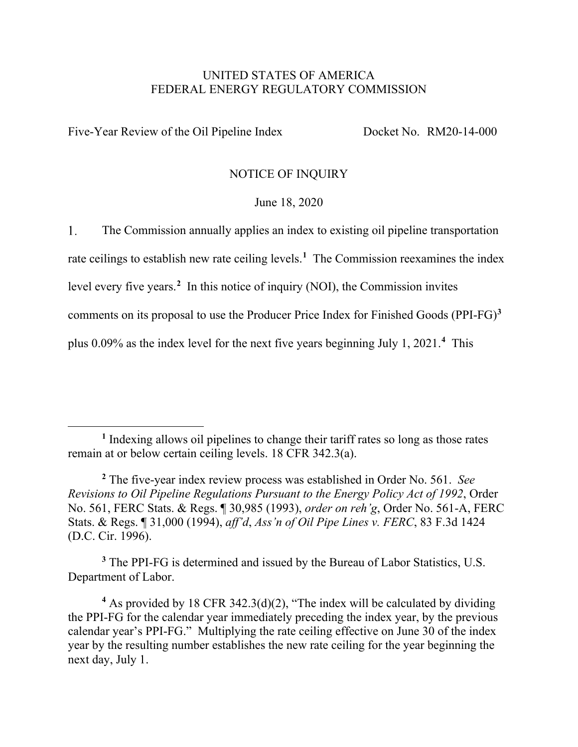### UNITED STATES OF AMERICA FEDERAL ENERGY REGULATORY COMMISSION

Five-Year Review of the Oil Pipeline Index Docket No. RM20-14-000

### NOTICE OF INQUIRY

### June 18, 2020

 $1<sub>1</sub>$ The Commission annually applies an index to existing oil pipeline transportation

rate ceilings to establish new rate ceiling levels.**[1](#page-2-0)** The Commission reexamines the index

level every five years.**[2](#page-2-1)** In this notice of inquiry (NOI), the Commission invites

comments on its proposal to use the Producer Price Index for Finished Goods (PPI-FG)**[3](#page-2-2)**

plus 0.09% as the index level for the next five years beginning July 1, 2021.**[4](#page-2-3)** This

<span id="page-2-2"></span>**<sup>3</sup>** The PPI-FG is determined and issued by the Bureau of Labor Statistics, U.S. Department of Labor.

<span id="page-2-0"></span>**<sup>1</sup>** Indexing allows oil pipelines to change their tariff rates so long as those rates remain at or below certain ceiling levels. 18 CFR 342.3(a).

<span id="page-2-1"></span>**<sup>2</sup>** The five-year index review process was established in Order No. 561. *See Revisions to Oil Pipeline Regulations Pursuant to the Energy Policy Act of 1992*, Order No. 561, FERC Stats. & Regs. ¶ 30,985 (1993), *order on reh'g*, Order No. 561-A, FERC Stats. & Regs. ¶ 31,000 (1994), *aff'd*, *Ass'n of Oil Pipe Lines v. FERC*, 83 F.3d 1424 (D.C. Cir. 1996).

<span id="page-2-3"></span>**<sup>4</sup>** As provided by 18 CFR 342.3(d)(2), "The index will be calculated by dividing the PPI-FG for the calendar year immediately preceding the index year, by the previous calendar year's PPI-FG." Multiplying the rate ceiling effective on June 30 of the index year by the resulting number establishes the new rate ceiling for the year beginning the next day, July 1.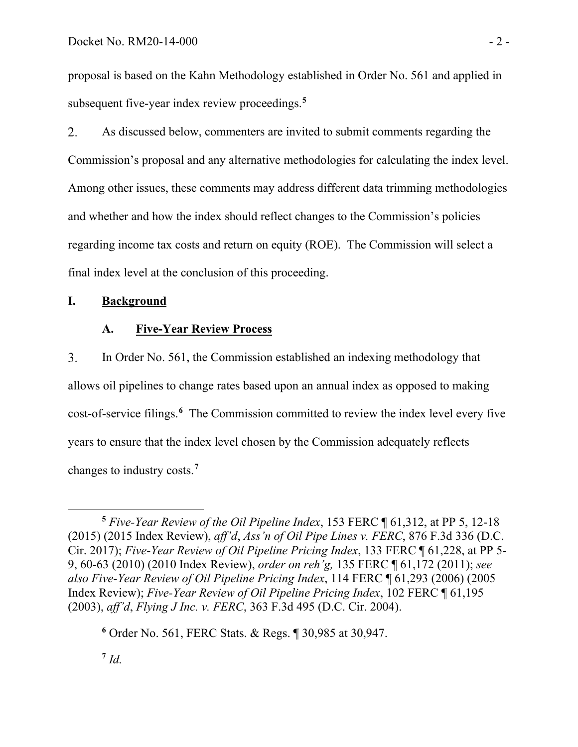proposal is based on the Kahn Methodology established in Order No. 561 and applied in subsequent five-year index review proceedings.**[5](#page-3-0)**

 $2.$ As discussed below, commenters are invited to submit comments regarding the Commission's proposal and any alternative methodologies for calculating the index level. Among other issues, these comments may address different data trimming methodologies and whether and how the index should reflect changes to the Commission's policies regarding income tax costs and return on equity (ROE). The Commission will select a final index level at the conclusion of this proceeding.

# **I. Background**

# **A. Five-Year Review Process**

3. In Order No. 561, the Commission established an indexing methodology that allows oil pipelines to change rates based upon an annual index as opposed to making cost-of-service filings.**[6](#page-3-1)** The Commission committed to review the index level every five years to ensure that the index level chosen by the Commission adequately reflects changes to industry costs.**[7](#page-3-2)**

<span id="page-3-2"></span> $^7$  *Id.* 

<span id="page-3-0"></span>**<sup>5</sup>** *Five-Year Review of the Oil Pipeline Index*, 153 FERC ¶ 61,312, at PP 5, 12-18 (2015) (2015 Index Review), *aff'd*, *Ass'n of Oil Pipe Lines v. FERC*, 876 F.3d 336 (D.C. Cir. 2017); *Five-Year Review of Oil Pipeline Pricing Index*, 133 FERC ¶ 61,228, at PP 5- 9, 60-63 (2010) (2010 Index Review), *order on reh'g,* 135 FERC ¶ 61,172 (2011); *see also Five-Year Review of Oil Pipeline Pricing Index*, 114 FERC ¶ 61,293 (2006) (2005 Index Review); *Five-Year Review of Oil Pipeline Pricing Index*, 102 FERC ¶ 61,195 (2003), *aff'd*, *Flying J Inc. v. FERC*, 363 F.3d 495 (D.C. Cir. 2004).

<span id="page-3-1"></span>**<sup>6</sup>** Order No. 561, FERC Stats. & Regs. ¶ 30,985 at 30,947.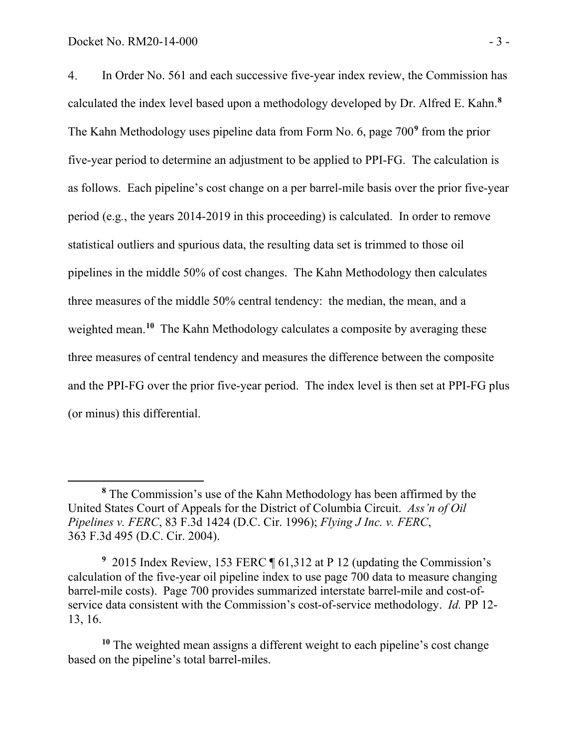In Order No. 561 and each successive five-year index review, the Commission has  $4.$ calculated the index level based upon a methodology developed by Dr. Alfred E. Kahn.**[8](#page-4-0)** The Kahn Methodology uses pipeline data from Form No. 6, page 700**[9](#page-4-1)** from the prior five-year period to determine an adjustment to be applied to PPI-FG. The calculation is as follows. Each pipeline's cost change on a per barrel-mile basis over the prior five-year period (e.g*.*, the years 2014-2019 in this proceeding) is calculated. In order to remove statistical outliers and spurious data, the resulting data set is trimmed to those oil pipelines in the middle 50% of cost changes. The Kahn Methodology then calculates three measures of the middle 50% central tendency: the median, the mean, and a weighted mean.<sup>[10](#page-4-2)</sup> The Kahn Methodology calculates a composite by averaging these three measures of central tendency and measures the difference between the composite and the PPI-FG over the prior five-year period. The index level is then set at PPI-FG plus (or minus) this differential.

<span id="page-4-0"></span>**<sup>8</sup>** The Commission's use of the Kahn Methodology has been affirmed by the United States Court of Appeals for the District of Columbia Circuit. *Ass'n of Oil Pipelines v. FERC*, 83 F.3d 1424 (D.C. Cir. 1996); *Flying J Inc. v. FERC*, 363 F.3d 495 (D.C. Cir. 2004).

<span id="page-4-1"></span>**<sup>9</sup>** 2015 Index Review, 153 FERC ¶ 61,312 at P 12 (updating the Commission's calculation of the five-year oil pipeline index to use page 700 data to measure changing barrel-mile costs). Page 700 provides summarized interstate barrel-mile and cost-ofservice data consistent with the Commission's cost-of-service methodology. *Id.* PP 12- 13, 16.

<span id="page-4-2"></span>**<sup>10</sup>** The weighted mean assigns a different weight to each pipeline's cost change based on the pipeline's total barrel-miles.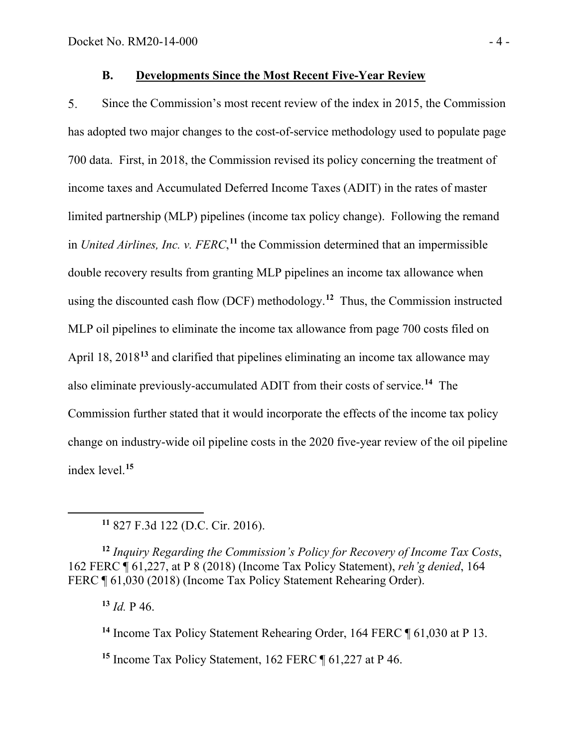### **B. Developments Since the Most Recent Five-Year Review**

5. Since the Commission's most recent review of the index in 2015, the Commission has adopted two major changes to the cost-of-service methodology used to populate page 700 data. First, in 2018, the Commission revised its policy concerning the treatment of income taxes and Accumulated Deferred Income Taxes (ADIT) in the rates of master limited partnership (MLP) pipelines (income tax policy change). Following the remand in *United Airlines, Inc. v. FERC*,<sup>[11](#page-5-0)</sup> the Commission determined that an impermissible double recovery results from granting MLP pipelines an income tax allowance when using the discounted cash flow (DCF) methodology. **[12](#page-5-1)** Thus, the Commission instructed MLP oil pipelines to eliminate the income tax allowance from page 700 costs filed on April 18, 2018**[13](#page-5-2)** and clarified that pipelines eliminating an income tax allowance may also eliminate previously-accumulated ADIT from their costs of service.**[14](#page-5-3)** The Commission further stated that it would incorporate the effects of the income tax policy change on industry-wide oil pipeline costs in the 2020 five-year review of the oil pipeline index level.**[15](#page-5-4)**

<span id="page-5-2"></span><span id="page-5-1"></span><span id="page-5-0"></span>**<sup>12</sup>** *Inquiry Regarding the Commission's Policy for Recovery of Income Tax Costs*, 162 FERC ¶ 61,227, at P 8 (2018) (Income Tax Policy Statement), *reh'g denied*, 164 FERC ¶ 61,030 (2018) (Income Tax Policy Statement Rehearing Order).

**<sup>13</sup>** *Id.* P 46.

<span id="page-5-3"></span>**<sup>14</sup>** Income Tax Policy Statement Rehearing Order, 164 FERC ¶ 61,030 at P 13.

<span id="page-5-4"></span>**<sup>15</sup>** Income Tax Policy Statement, 162 FERC ¶ 61,227 at P 46.

**<sup>11</sup>** 827 F.3d 122 (D.C. Cir. 2016).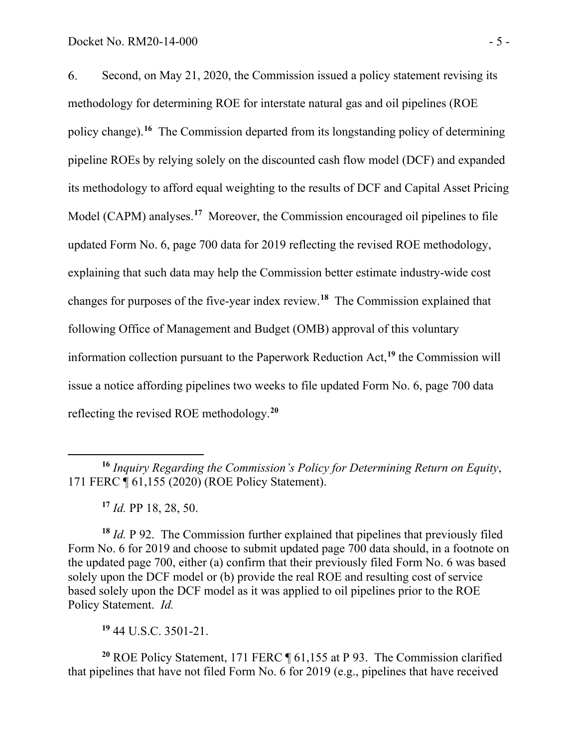6. Second, on May 21, 2020, the Commission issued a policy statement revising its methodology for determining ROE for interstate natural gas and oil pipelines (ROE policy change). **[16](#page-6-0)** The Commission departed from its longstanding policy of determining pipeline ROEs by relying solely on the discounted cash flow model (DCF) and expanded its methodology to afford equal weighting to the results of DCF and Capital Asset Pricing Model (CAPM) analyses.**[17](#page-6-1)** Moreover, the Commission encouraged oil pipelines to file updated Form No. 6, page 700 data for 2019 reflecting the revised ROE methodology, explaining that such data may help the Commission better estimate industry-wide cost changes for purposes of the five-year index review.**[18](#page-6-2)** The Commission explained that following Office of Management and Budget (OMB) approval of this voluntary information collection pursuant to the Paperwork Reduction Act,**[19](#page-6-3)** the Commission will issue a notice affording pipelines two weeks to file updated Form No. 6, page 700 data reflecting the revised ROE methodology.**[20](#page-6-4)**

**<sup>17</sup>** *Id.* PP 18, 28, 50.

<span id="page-6-2"></span><span id="page-6-1"></span>**<sup>18</sup>** *Id.* P 92. The Commission further explained that pipelines that previously filed Form No. 6 for 2019 and choose to submit updated page 700 data should, in a footnote on the updated page 700, either (a) confirm that their previously filed Form No. 6 was based solely upon the DCF model or (b) provide the real ROE and resulting cost of service based solely upon the DCF model as it was applied to oil pipelines prior to the ROE Policy Statement. *Id.*

**<sup>19</sup>** 44 U.S.C. 3501-21.

<span id="page-6-4"></span><span id="page-6-3"></span>**<sup>20</sup>** ROE Policy Statement, 171 FERC ¶ 61,155 at P 93. The Commission clarified that pipelines that have not filed Form No. 6 for 2019 (e.g., pipelines that have received

<span id="page-6-0"></span>**<sup>16</sup>** *Inquiry Regarding the Commission's Policy for Determining Return on Equity*, 171 FERC ¶ 61,155 (2020) (ROE Policy Statement).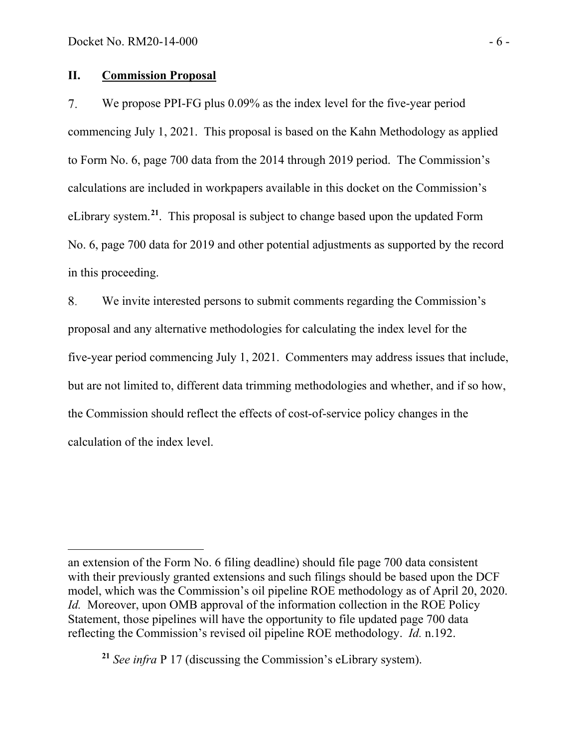### **II. Commission Proposal**

7. We propose PPI-FG plus 0.09% as the index level for the five-year period commencing July 1, 2021. This proposal is based on the Kahn Methodology as applied to Form No. 6, page 700 data from the 2014 through 2019 period. The Commission's calculations are included in workpapers available in this docket on the Commission's eLibrary system.**[21](#page-7-0)**. This proposal is subject to change based upon the updated Form No. 6, page 700 data for 2019 and other potential adjustments as supported by the record in this proceeding.

8. We invite interested persons to submit comments regarding the Commission's proposal and any alternative methodologies for calculating the index level for the five-year period commencing July 1, 2021. Commenters may address issues that include, but are not limited to, different data trimming methodologies and whether, and if so how, the Commission should reflect the effects of cost-of-service policy changes in the calculation of the index level.

an extension of the Form No. 6 filing deadline) should file page 700 data consistent with their previously granted extensions and such filings should be based upon the DCF model, which was the Commission's oil pipeline ROE methodology as of April 20, 2020. *Id.* Moreover, upon OMB approval of the information collection in the ROE Policy Statement, those pipelines will have the opportunity to file updated page 700 data reflecting the Commission's revised oil pipeline ROE methodology. *Id.* n.192.

<span id="page-7-0"></span>**<sup>21</sup>** *See infra* P 17 (discussing the Commission's eLibrary system).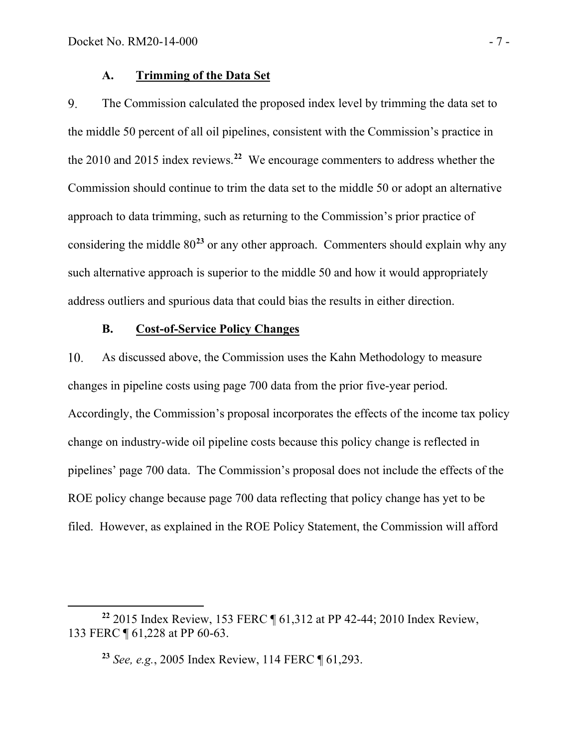### **A. Trimming of the Data Set**

9. The Commission calculated the proposed index level by trimming the data set to the middle 50 percent of all oil pipelines, consistent with the Commission's practice in the 2010 and 2015 index reviews. **[22](#page-8-0)** We encourage commenters to address whether the Commission should continue to trim the data set to the middle 50 or adopt an alternative approach to data trimming, such as returning to the Commission's prior practice of considering the middle 80**[23](#page-8-1)** or any other approach. Commenters should explain why any such alternative approach is superior to the middle 50 and how it would appropriately address outliers and spurious data that could bias the results in either direction.

# **B. Cost-of-Service Policy Changes**

10. As discussed above, the Commission uses the Kahn Methodology to measure changes in pipeline costs using page 700 data from the prior five-year period. Accordingly, the Commission's proposal incorporates the effects of the income tax policy change on industry-wide oil pipeline costs because this policy change is reflected in pipelines' page 700 data. The Commission's proposal does not include the effects of the ROE policy change because page 700 data reflecting that policy change has yet to be filed. However, as explained in the ROE Policy Statement, the Commission will afford

<span id="page-8-1"></span><span id="page-8-0"></span>**<sup>22</sup>** 2015 Index Review, 153 FERC ¶ 61,312 at PP 42-44; 2010 Index Review, 133 FERC ¶ 61,228 at PP 60-63.

**<sup>23</sup>** *See, e.g.*, 2005 Index Review, 114 FERC ¶ 61,293.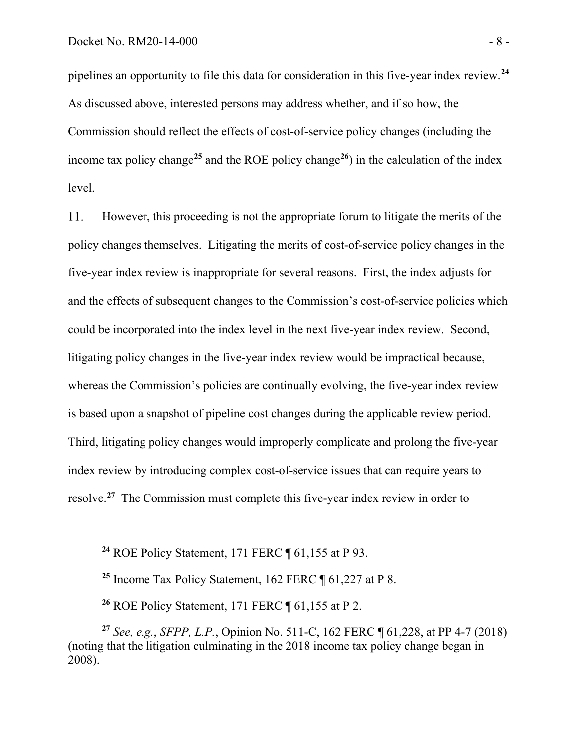pipelines an opportunity to file this data for consideration in this five-year index review.**[24](#page-9-0)** As discussed above, interested persons may address whether, and if so how, the Commission should reflect the effects of cost-of-service policy changes (including the income tax policy change**[25](#page-9-1)** and the ROE policy change**[26](#page-9-2)**) in the calculation of the index level.

 $11.$ However, this proceeding is not the appropriate forum to litigate the merits of the policy changes themselves. Litigating the merits of cost-of-service policy changes in the five-year index review is inappropriate for several reasons. First, the index adjusts for and the effects of subsequent changes to the Commission's cost-of-service policies which could be incorporated into the index level in the next five-year index review. Second, litigating policy changes in the five-year index review would be impractical because, whereas the Commission's policies are continually evolving, the five-year index review is based upon a snapshot of pipeline cost changes during the applicable review period. Third, litigating policy changes would improperly complicate and prolong the five-year index review by introducing complex cost-of-service issues that can require years to resolve. **[27](#page-9-3)** The Commission must complete this five-year index review in order to

**<sup>26</sup>** ROE Policy Statement, 171 FERC ¶ 61,155 at P 2.

<span id="page-9-0"></span>**<sup>24</sup>** ROE Policy Statement, 171 FERC ¶ 61,155 at P 93.

**<sup>25</sup>** Income Tax Policy Statement, 162 FERC ¶ 61,227 at P 8.

<span id="page-9-3"></span><span id="page-9-2"></span><span id="page-9-1"></span>**<sup>27</sup>** *See, e.g.*, *SFPP, L.P.*, Opinion No. 511-C, 162 FERC ¶ 61,228, at PP 4-7 (2018) (noting that the litigation culminating in the 2018 income tax policy change began in 2008).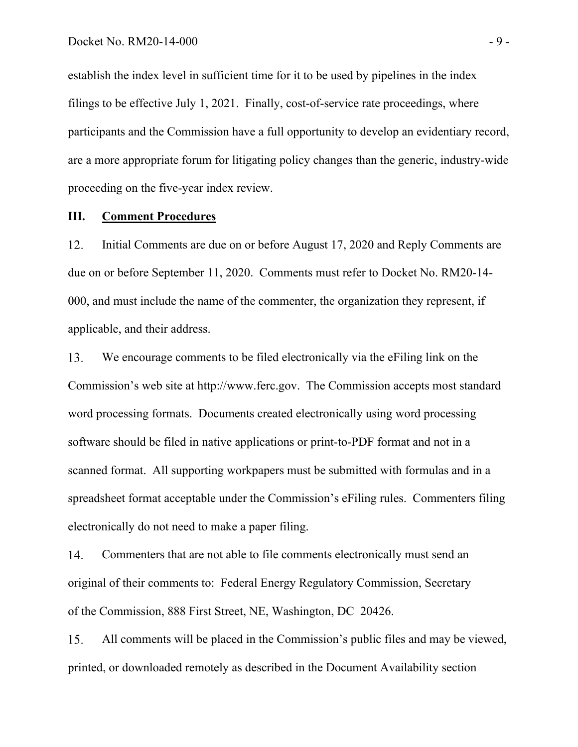establish the index level in sufficient time for it to be used by pipelines in the index filings to be effective July 1, 2021. Finally, cost-of-service rate proceedings, where participants and the Commission have a full opportunity to develop an evidentiary record, are a more appropriate forum for litigating policy changes than the generic, industry-wide proceeding on the five-year index review.

### **III. Comment Procedures**

12. Initial Comments are due on or before August 17, 2020 and Reply Comments are due on or before September 11, 2020. Comments must refer to Docket No. RM20-14- 000, and must include the name of the commenter, the organization they represent, if applicable, and their address.

13. We encourage comments to be filed electronically via the eFiling link on the Commission's web site at [http://www.ferc.gov.](http://www.ferc.gov/) The Commission accepts most standard word processing formats. Documents created electronically using word processing software should be filed in native applications or print-to-PDF format and not in a scanned format. All supporting workpapers must be submitted with formulas and in a spreadsheet format acceptable under the Commission's eFiling rules. Commenters filing electronically do not need to make a paper filing.

14. Commenters that are not able to file comments electronically must send an original of their comments to: Federal Energy Regulatory Commission, Secretary of the Commission, 888 First Street, NE, Washington, DC 20426.

15. All comments will be placed in the Commission's public files and may be viewed, printed, or downloaded remotely as described in the Document Availability section